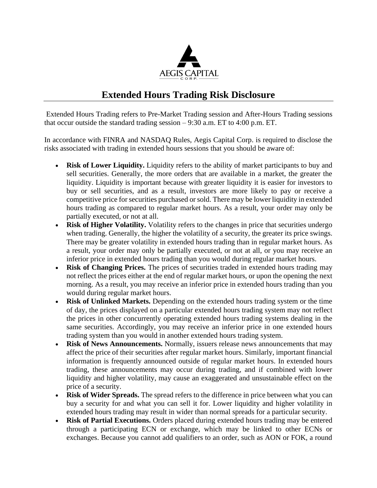

## **Extended Hours Trading Risk Disclosure**

Extended Hours Trading refers to Pre-Market Trading session and After-Hours Trading sessions that occur outside the standard trading session – 9:30 a.m. ET to 4:00 p.m. ET.

In accordance with FINRA and NASDAQ Rules, Aegis Capital Corp. is required to disclose the risks associated with trading in extended hours sessions that you should be aware of:

- **Risk of Lower Liquidity.** Liquidity refers to the ability of market participants to buy and sell securities. Generally, the more orders that are available in a market, the greater the liquidity. Liquidity is important because with greater liquidity it is easier for investors to buy or sell securities, and as a result, investors are more likely to pay or receive a competitive price for securities purchased or sold. There may be lower liquidity in extended hours trading as compared to regular market hours. As a result, your order may only be partially executed, or not at all.
- **Risk of Higher Volatility.** Volatility refers to the changes in price that securities undergo when trading. Generally, the higher the volatility of a security, the greater its price swings. There may be greater volatility in extended hours trading than in regular market hours. As a result, your order may only be partially executed, or not at all, or you may receive an inferior price in extended hours trading than you would during regular market hours.
- **Risk of Changing Prices.** The prices of securities traded in extended hours trading may not reflect the prices either at the end of regular market hours, or upon the opening the next morning. As a result, you may receive an inferior price in extended hours trading than you would during regular market hours.
- **Risk of Unlinked Markets.** Depending on the extended hours trading system or the time of day, the prices displayed on a particular extended hours trading system may not reflect the prices in other concurrently operating extended hours trading systems dealing in the same securities. Accordingly, you may receive an inferior price in one extended hours trading system than you would in another extended hours trading system.
- **Risk of News Announcements.** Normally, issuers release news announcements that may affect the price of their securities after regular market hours. Similarly, important financial information is frequently announced outside of regular market hours. In extended hours trading, these announcements may occur during trading, and if combined with lower liquidity and higher volatility, may cause an exaggerated and unsustainable effect on the price of a security.
- **Risk of Wider Spreads.** The spread refers to the difference in price between what you can buy a security for and what you can sell it for. Lower liquidity and higher volatility in extended hours trading may result in wider than normal spreads for a particular security.
- **Risk of Partial Executions.** Orders placed during extended hours trading may be entered through a participating ECN or exchange, which may be linked to other ECNs or exchanges. Because you cannot add qualifiers to an order, such as AON or FOK, a round